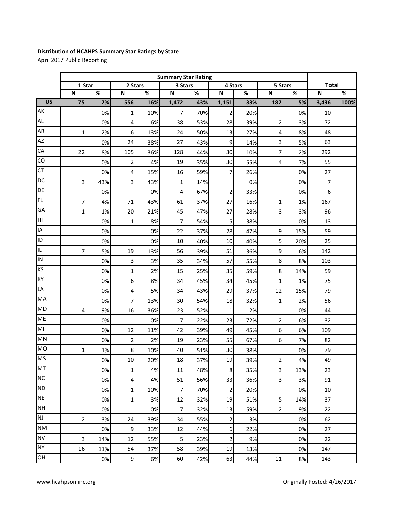## **Distribution of HCAHPS Summary Star Ratings by State**

April 2017 Public Reporting

|                 | <b>Summary Star Rating</b> |     |                         |     |                         |     |                |     |                         |     |                         |      |
|-----------------|----------------------------|-----|-------------------------|-----|-------------------------|-----|----------------|-----|-------------------------|-----|-------------------------|------|
|                 | 1 Star                     |     | 2 Stars                 |     | 3 Stars                 |     | 4 Stars        |     | 5 Stars                 |     | <b>Total</b>            |      |
|                 | $\overline{\mathsf{N}}$    | %   | N                       | %   | $\overline{\mathsf{N}}$ | %   | N              | %   | $\overline{\mathsf{N}}$ | %   | $\overline{\mathsf{N}}$ | %    |
| $\overline{US}$ | 75                         | 2%  | 556                     | 16% | 1,472                   | 43% | 1,151          | 33% | 182                     | 5%  | 3,436                   | 100% |
| AK              |                            | 0%  | $\mathbf 1$             | 10% | 7                       | 70% | $\overline{2}$ | 20% |                         | 0%  | 10                      |      |
| <b>AL</b>       |                            | 0%  | 4                       | 6%  | 38                      | 53% | 28             | 39% | $\overline{c}$          | 3%  | 72                      |      |
| <b>AR</b>       | $\mathbf{1}$               | 2%  | 6                       | 13% | 24                      | 50% | 13             | 27% | 4                       | 8%  | 48                      |      |
| <b>AZ</b>       |                            | 0%  | 24                      | 38% | 27                      | 43% | 9              | 14% | 3                       | 5%  | 63                      |      |
| CA              | 22                         | 8%  | 105                     | 36% | 128                     | 44% | 30             | 10% | 7                       | 2%  | 292                     |      |
| CO              |                            | 0%  | $\overline{\mathbf{c}}$ | 4%  | 19                      | 35% | 30             | 55% | 4                       | 7%  | 55                      |      |
| <b>CT</b>       |                            | 0%  | 4                       | 15% | 16                      | 59% | $\overline{7}$ | 26% |                         | 0%  | 27                      |      |
| DC              | 3                          | 43% | 3                       | 43% | $\mathbf{1}$            | 14% |                | 0%  |                         | 0%  | 7                       |      |
| DE              |                            | 0%  |                         | 0%  | 4                       | 67% | $\overline{2}$ | 33% |                         | 0%  | 6                       |      |
| FL              | 7                          | 4%  | 71                      | 43% | 61                      | 37% | 27             | 16% | 1                       | 1%  | 167                     |      |
| GA              | $\mathbf{1}$               | 1%  | 20                      | 21% | 45                      | 47% | 27             | 28% | 3                       | 3%  | 96                      |      |
| НI              |                            | 0%  | $\mathbf{1}$            | 8%  | $\overline{7}$          | 54% | 5              | 38% |                         | 0%  | 13                      |      |
| IA              |                            | 0%  |                         | 0%  | 22                      | 37% | 28             | 47% | 9                       | 15% | 59                      |      |
| ID              |                            | 0%  |                         | 0%  | 10                      | 40% | 10             | 40% | 5                       | 20% | 25                      |      |
| IL.             | $\overline{7}$             | 5%  | 19                      | 13% | 56                      | 39% | 51             | 36% | 9                       | 6%  | 142                     |      |
| IN              |                            | 0%  | 3                       | 3%  | 35                      | 34% | 57             | 55% | 8                       | 8%  | 103                     |      |
| KS              |                            | 0%  | $\mathbf 1$             | 2%  | 15                      | 25% | 35             | 59% | 8                       | 14% | 59                      |      |
| KY              |                            | 0%  | 6                       | 8%  | 34                      | 45% | 34             | 45% | 1                       | 1%  | 75                      |      |
| LA              |                            | 0%  | 4                       | 5%  | 34                      | 43% | 29             | 37% | 12                      | 15% | 79                      |      |
| MA              |                            | 0%  | 7                       | 13% | 30                      | 54% | 18             | 32% | $\mathbf 1$             | 2%  | 56                      |      |
| <b>MD</b>       | 4                          | 9%  | 16                      | 36% | 23                      | 52% | $\mathbf{1}$   | 2%  |                         | 0%  | 44                      |      |
| <b>ME</b>       |                            | 0%  |                         | 0%  | $\overline{7}$          | 22% | 23             | 72% | $\overline{c}$          | 6%  | 32                      |      |
| MI              |                            | 0%  | 12                      | 11% | 42                      | 39% | 49             | 45% | 6                       | 6%  | 109                     |      |
| MN              |                            | 0%  | $\mathbf 2$             | 2%  | 19                      | 23% | 55             | 67% | 6                       | 7%  | 82                      |      |
| <b>MO</b>       | 1                          | 1%  | 8                       | 10% | 40                      | 51% | 30             | 38% |                         | 0%  | 79                      |      |
| <b>MS</b>       |                            | 0%  | 10                      | 20% | 18                      | 37% | 19             | 39% | $\mathbf 2$             | 4%  | 49                      |      |
| MT              |                            | 0%  | 1                       | 4%  | 11                      | 48% | 8              | 35% | 3                       | 13% | 23                      |      |
| <b>NC</b>       |                            | 0%  | 4                       | 4%  | 51                      | 56% | 33             | 36% | $\overline{3}$          | 3%  | 91                      |      |
| <b>ND</b>       |                            | 0%  | $\mathbf{1}$            | 10% | 7                       | 70% | $\mathbf 2$    | 20% |                         | 0%  | 10                      |      |
| <b>NE</b>       |                            | 0%  | 1                       | 3%  | 12                      | 32% | 19             | 51% | 5                       | 14% | 37                      |      |
| <b>NH</b>       |                            | 0%  |                         | 0%  | $\overline{7}$          | 32% | 13             | 59% | 2                       | 9%  | 22                      |      |
| <b>NJ</b>       | $\overline{2}$             | 3%  | 24                      | 39% | 34                      | 55% | $\mathbf 2$    | 3%  |                         | 0%  | 62                      |      |
| <b>NM</b>       |                            | 0%  | 9                       | 33% | 12                      | 44% | 6              | 22% |                         | 0%  | 27                      |      |
| <b>NV</b>       | 3                          | 14% | 12                      | 55% | $\overline{5}$          | 23% | $\overline{2}$ | 9%  |                         | 0%  | 22                      |      |
| <b>NY</b>       | 16                         | 11% | 54                      | 37% | 58                      | 39% | 19             | 13% |                         | 0%  | 147                     |      |
| OH              |                            | 0%  | 9                       | 6%  | 60                      | 42% | 63             | 44% | 11                      | 8%  | 143                     |      |